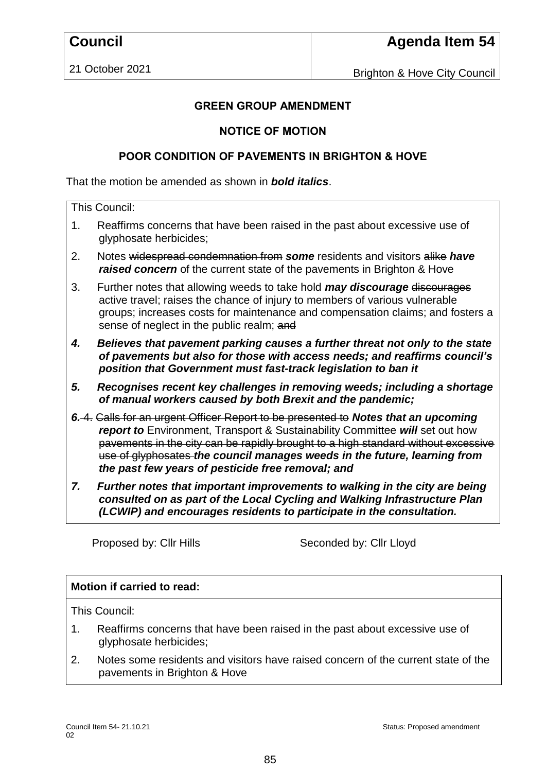21 October 2021

Brighton & Hove City Council

## **GREEN GROUP AMENDMENT**

## **NOTICE OF MOTION**

## **POOR CONDITION OF PAVEMENTS IN BRIGHTON & HOVE**

That the motion be amended as shown in *bold italics*.

| This Council: |                                                                                                                                                                                                                                                                                                                                                                                          |
|---------------|------------------------------------------------------------------------------------------------------------------------------------------------------------------------------------------------------------------------------------------------------------------------------------------------------------------------------------------------------------------------------------------|
| 1.            | Reaffirms concerns that have been raised in the past about excessive use of<br>glyphosate herbicides;                                                                                                                                                                                                                                                                                    |
| 2.            | Notes widespread condemnation from some residents and visitors alike have<br>raised concern of the current state of the pavements in Brighton & Hove                                                                                                                                                                                                                                     |
| 3.            | Further notes that allowing weeds to take hold <b>may discourage</b> discourages<br>active travel; raises the chance of injury to members of various vulnerable<br>groups; increases costs for maintenance and compensation claims; and fosters a<br>sense of neglect in the public realm; and                                                                                           |
| 4.            | Believes that pavement parking causes a further threat not only to the state<br>of pavements but also for those with access needs; and reaffirms council's<br>position that Government must fast-track legislation to ban it                                                                                                                                                             |
| 5.            | Recognises recent key challenges in removing weeds; including a shortage<br>of manual workers caused by both Brexit and the pandemic;                                                                                                                                                                                                                                                    |
|               | 6.4. Calls for an urgent Officer Report to be presented to Notes that an upcoming<br>report to Environment, Transport & Sustainability Committee will set out how<br>pavements in the city can be rapidly brought to a high standard without excessive<br>use of glyphosates the council manages weeds in the future, learning from<br>the past few years of pesticide free removal; and |
| 7.            | Further notes that important improvements to walking in the city are being<br>consulted on as nart of the Local Cycling and Walking Infrastructure Plan                                                                                                                                                                                                                                  |

*consulted on as part of the Local Cycling and Walking Infrastructure Plan (LCWIP) and encourages residents to participate in the consultation.*

Proposed by: Cllr Hills Seconded by: Cllr Lloyd

## **Motion if carried to read:**

This Council:

- 1. Reaffirms concerns that have been raised in the past about excessive use of glyphosate herbicides;
- 2. Notes some residents and visitors have raised concern of the current state of the pavements in Brighton & Hove